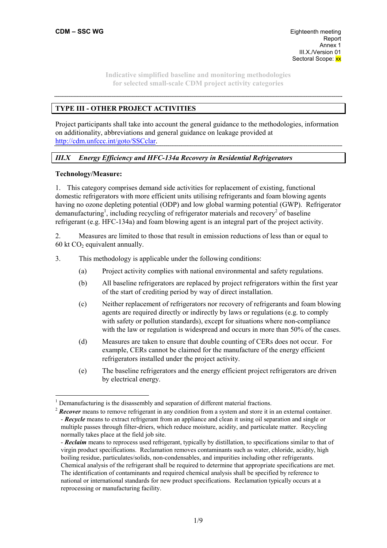# **TYPE III - OTHER PROJECT ACTIVITIES**

Project participants shall take into account the general guidance to the methodologies, information on additionality, abbreviations and general guidance on leakage provided at http://cdm.unfccc.int/goto/SSCclar.

## *III.X Energy Efficiency and HFC-134a Recovery in Residential Refrigerators*

#### **Technology/Measure:**

 $\overline{a}$ 

1. This category comprises demand side activities for replacement of existing, functional domestic refrigerators with more efficient units utilising refrigerants and foam blowing agents having no ozone depleting potential (ODP) and low global warming potential (GWP). Refrigerator demanufacturing<sup>1</sup>, including recycling of refrigerator materials and recovery<sup>2</sup> of baseline refrigerant (e.g. HFC-134a) and foam blowing agent is an integral part of the project activity.

2. Measures are limited to those that result in emission reductions of less than or equal to 60 kt  $CO<sub>2</sub>$  equivalent annually.

3. This methodology is applicable under the following conditions:

- (a) Project activity complies with national environmental and safety regulations.
- (b) All baseline refrigerators are replaced by project refrigerators within the first year of the start of crediting period by way of direct installation.
- (c) Neither replacement of refrigerators nor recovery of refrigerants and foam blowing agents are required directly or indirectly by laws or regulations (e.g. to comply with safety or pollution standards), except for situations where non-compliance with the law or regulation is widespread and occurs in more than 50% of the cases.
- (d) Measures are taken to ensure that double counting of CERs does not occur. For example, CERs cannot be claimed for the manufacture of the energy efficient refrigerators installed under the project activity.
- (e) The baseline refrigerators and the energy efficient project refrigerators are driven by electrical energy.

 $<sup>1</sup>$  Demanufacturing is the disassembly and separation of different material fractions.</sup>

<sup>&</sup>lt;sup>2</sup> **Recover** means to remove refrigerant in any condition from a system and store it in an external container. - *Recycle* means to extract refrigerant from an appliance and clean it using oil separation and single or multiple passes through filter-driers, which reduce moisture, acidity, and particulate matter. Recycling normally takes place at the field job site.

<sup>-</sup> *Reclaim* means to reprocess used refrigerant, typically by distillation, to specifications similar to that of virgin product specifications. Reclamation removes contaminants such as water, chloride, acidity, high boiling residue, particulates/solids, non-condensables, and impurities including other refrigerants. Chemical analysis of the refrigerant shall be required to determine that appropriate specifications are met. The identification of contaminants and required chemical analysis shall be specified by reference to national or international standards for new product specifications. Reclamation typically occurs at a reprocessing or manufacturing facility.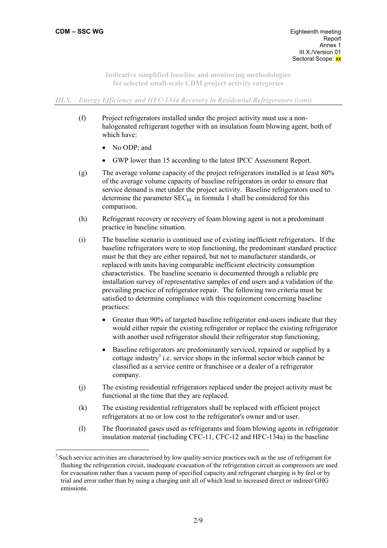$\overline{a}$ 

**Indicative simplified baseline and monitoring methodologies for selected small-scale CDM project activity categories** 

## *III.X. Energy Efficiency and HFC-134a Recovery in Residential Refrigerators (cont)*

- (f) Project refrigerators installed under the project activity must use a nonhalogenated refrigerant together with an insulation foam blowing agent, both of which have:
	- No ODP; and
	- GWP lower than 15 according to the latest IPCC Assessment Report.
- (g) The average volume capacity of the project refrigerators installed is at least 80% of the average volume capacity of baseline refrigerators in order to ensure that service demand is met under the project activity. Baseline refrigerators used to determine the parameter  $SEC_{BL}$  in formula 1 shall be considered for this comparison.
- (h) Refrigerant recovery or recovery of foam blowing agent is not a predominant practice in baseline situation.
- (i) The baseline scenario is continued use of existing inefficient refrigerators. If the baseline refrigerators were to stop functioning, the predominant standard practice must be that they are either repaired, but not to manufacturer standards, or replaced with units having comparable inefficient electricity consumption characteristics. The baseline scenario is documented through a reliable pre installation survey of representative samples of end users and a validation of the prevailing practice of refrigerator repair. The following two criteria must be satisfied to determine compliance with this requirement concerning baseline practices:
	- Greater than 90% of targeted baseline refrigerator end-users indicate that they would either repair the existing refrigerator or replace the existing refrigerator with another used refrigerator should their refrigerator stop functioning,
	- Baseline refrigerators are predominantly serviced, repaired or supplied by a cottage industry<sup>3</sup> i.e. service shops in the informal sector which cannot be classified as a service centre or franchisee or a dealer of a refrigerator company.
- (j) The existing residential refrigerators replaced under the project activity must be functional at the time that they are replaced.
- (k) The existing residential refrigerators shall be replaced with efficient project refrigerators at no or low cost to the refrigerator's owner and/or user.
- (l) The fluorinated gases used as refrigerants and foam blowing agents in refrigerator insulation material (including CFC-11, CFC-12 and HFC-134a) in the baseline

<sup>&</sup>lt;sup>3</sup> Such service activities are characterised by low quality service practices such as the use of refrigerant for flushing the refrigeration circuit, inadequate evacuation of the refrigeration circuit as compressors are used for evacuation rather than a vacuum pump of specified capacity and refrigerant charging is by feel or by trial and error rather than by using a charging unit all of which lead to increased direct or indirect GHG emissions.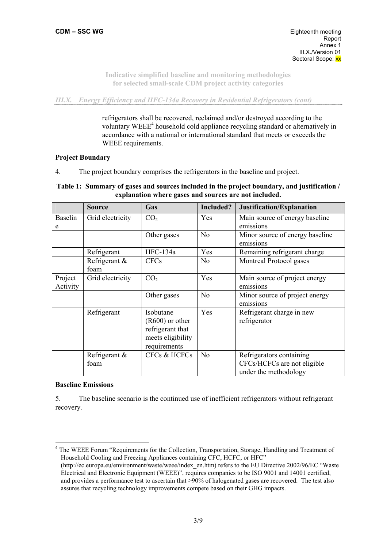*III.X. Energy Efficiency and HFC-134a Recovery in Residential Refrigerators (cont)* 

refrigerators shall be recovered, reclaimed and/or destroyed according to the voluntary WEEE<sup>4</sup> household cold appliance recycling standard or alternatively in accordance with a national or international standard that meets or exceeds the WEEE requirements.

#### **Project Boundary**

4. The project boundary comprises the refrigerators in the baseline and project.

# **Table 1: Summary of gases and sources included in the project boundary, and justification / explanation where gases and sources are not included.**

|                     | <b>Source</b>         | Gas                                                                                     | Included?      | Justification/Explanation                                                        |
|---------------------|-----------------------|-----------------------------------------------------------------------------------------|----------------|----------------------------------------------------------------------------------|
| <b>Baselin</b><br>e | Grid electricity      | CO <sub>2</sub>                                                                         | Yes            | Main source of energy baseline<br>emissions                                      |
|                     |                       | Other gases                                                                             | N <sub>0</sub> | Minor source of energy baseline<br>emissions                                     |
|                     | Refrigerant           | HFC-134a                                                                                | Yes            | Remaining refrigerant charge                                                     |
|                     | Refrigerant &<br>foam | <b>CFCs</b>                                                                             | N <sub>0</sub> | Montreal Protocol gases                                                          |
| Project<br>Activity | Grid electricity      | CO <sub>2</sub>                                                                         | Yes            | Main source of project energy<br>emissions                                       |
|                     |                       | Other gases                                                                             | No             | Minor source of project energy<br>emissions                                      |
|                     | Refrigerant           | Isobutane<br>$(R600)$ or other<br>refrigerant that<br>meets eligibility<br>requirements | Yes            | Refrigerant charge in new<br>refrigerator                                        |
|                     | Refrigerant &<br>foam | <b>CFCs &amp; HCFCs</b>                                                                 | N <sub>0</sub> | Refrigerators containing<br>CFCs/HCFCs are not eligible<br>under the methodology |

#### **Baseline Emissions**

 $\overline{a}$ 

5. The baseline scenario is the continued use of inefficient refrigerators without refrigerant recovery.

<sup>4</sup> The WEEE Forum "Requirements for the Collection, Transportation, Storage, Handling and Treatment of Household Cooling and Freezing Appliances containing CFC, HCFC, or HFC" (http://ec.europa.eu/environment/waste/weee/index\_en.htm) refers to the EU Directive 2002/96/EC "Waste Electrical and Electronic Equipment (WEEE)", requires companies to be ISO 9001 and 14001 certified, and provides a performance test to ascertain that >90% of halogenated gases are recovered. The test also assures that recycling technology improvements compete based on their GHG impacts.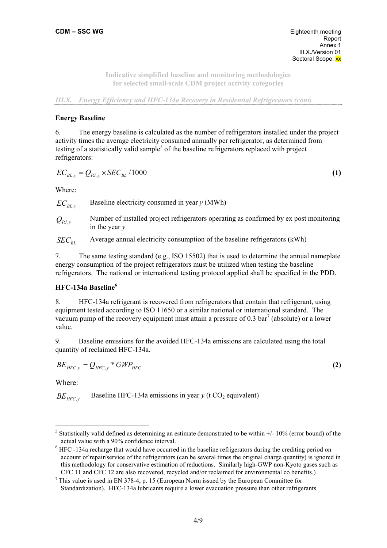*III.X. Energy Efficiency and HFC-134a Recovery in Residential Refrigerators (cont)* 

#### **Energy Baseline**

6. The energy baseline is calculated as the number of refrigerators installed under the project activity times the average electricity consumed annually per refrigerator, as determined from testing of a statistically valid sample<sup>5</sup> of the baseline refrigerators replaced with project refrigerators:

$$
EC_{BL,y} = Q_{PL,y} \times SEC_{BL} / 1000 \tag{1}
$$

Where:

 $EC_{BI}$ , Baseline electricity consumed in year *y* (MWh)

 $Q_{p_I}$  , Number of installed project refrigerators operating as confirmed by ex post monitoring in the year *y*

*SEC<sub>pr</sub>* Average annual electricity consumption of the baseline refrigerators (kWh)

7. The same testing standard (e.g., ISO 15502) that is used to determine the annual nameplate energy consumption of the project refrigerators must be utilized when testing the baseline refrigerators. The national or international testing protocol applied shall be specified in the PDD.

#### **HFC-134a Baseline6**

8. HFC-134a refrigerant is recovered from refrigerators that contain that refrigerant, using equipment tested according to ISO 11650 or a similar national or international standard. The vacuum pump of the recovery equipment must attain a pressure of 0.3 bar<sup>7</sup> (absolute) or a lower value.

9. Baseline emissions for the avoided HFC-134a emissions are calculated using the total quantity of reclaimed HFC-134a.

$$
BE_{HFC,y} = Q_{HFC,y} * GWP_{HFC}
$$
 (2)

Where:

 $\overline{a}$ 

 $BE<sub>HFCy</sub>$  Baseline HFC-134a emissions in year *y* (t CO<sub>2</sub> equivalent)

<sup>&</sup>lt;sup>5</sup> Statistically valid defined as determining an estimate demonstrated to be within  $+/-10\%$  (error bound) of the actual value with a 90% confidence interval. 6

<sup>&</sup>lt;sup>6</sup> HFC -134a recharge that would have occurred in the baseline refrigerators during the crediting period on account of repair/service of the refrigerators (can be several times the original charge quantity) is ignored in this methodology for conservative estimation of reductions. Similarly high-GWP non-Kyoto gases such as

CFC 11 and CFC 12 are also recovered, recycled and/or reclaimed for environmental co benefits.) <sup>7</sup> This value is used in EN 378-4, p. 15 (European Norm issued by the European Committee for Standardization). HFC-134a lubricants require a lower evacuation pressure than other refrigerants.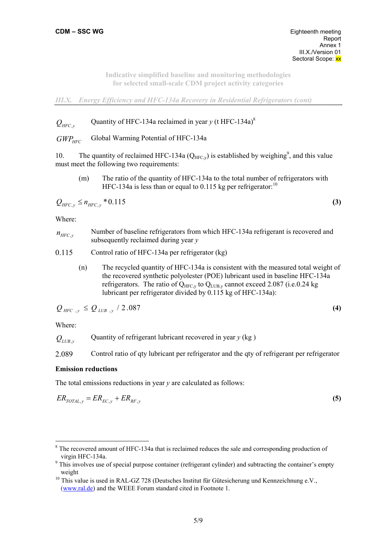*III.X. Energy Efficiency and HFC-134a Recovery in Residential Refrigerators (cont)* 

 $Q_{HFC}$ , Quantity of HFC-134a reclaimed in year *y* (t HFC-134a)<sup>8</sup>

*GWP<sub>HFC</sub>* Global Warming Potential of HFC-134a

10. The quantity of reclaimed HFC-134a ( $Q_{HFC,y}$ ) is established by weighing<sup>9</sup>, and this value must meet the following two requirements:

(m) The ratio of the quantity of HFC-134a to the total number of refrigerators with HFC-134a is less than or equal to 0.115 kg per refrigerator:<sup>10</sup>

$$
Q_{HFC,y} \le n_{HFC,y} * 0.115
$$
 (3)

Where:

- $n_{HFC, y}$  Number of baseline refrigerators from which HFC-134a refrigerant is recovered and subsequently reclaimed during year *y*
- 0.115 Control ratio of HFC-134a per refrigerator (kg)
	- (n) The recycled quantity of HFC-134a is consistent with the measured total weight of the recovered synthetic polyolester (POE) lubricant used in baseline HFC-134a refrigerators. The ratio of  $Q_{\text{HFC}}$  to  $Q_{\text{LIB}}$  cannot exceed 2.087 (i.e. 0.24 kg) lubricant per refrigerator divided by 0.115 kg of HFC-134a):

$$
Q_{HFC, y} \le Q_{LUB, y} / 2.087
$$
 (4)

Where:

 $\overline{a}$ 

 $Q_{UIR}$ <sup>*y*</sup> Quantity of refrigerant lubricant recovered in year *y* (kg)

2.089 Control ratio of qty lubricant per refrigerator and the qty of refrigerant per refrigerator

# **Emission reductions**

The total emissions reductions in year *y* are calculated as follows:

$$
ER_{TOTAL,y} = ER_{EC,y} + ER_{RF,y}
$$
\n
$$
\tag{5}
$$

<sup>&</sup>lt;sup>8</sup> The recovered amount of HFC-134a that is reclaimed reduces the sale and corresponding production of virgin HFC-134a.

<sup>&</sup>lt;sup>9</sup> This involves use of special purpose container (refrigerant cylinder) and subtracting the container's empty weight<br><sup>10</sup> This value is used in RAL-GZ 728 (Deutsches Institut für Gütesicherung und Kennzeichnung e.V.,

<sup>(</sup>www.ral.de) and the WEEE Forum standard cited in Footnote 1.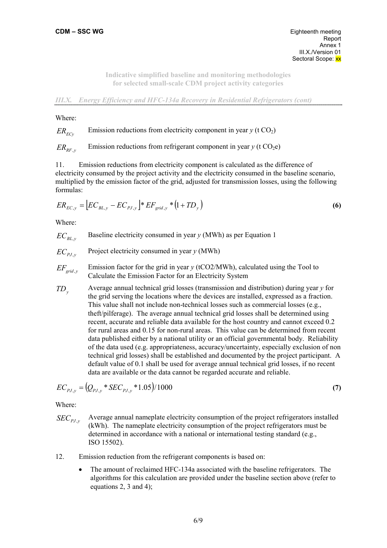*III.X. Energy Efficiency and HFC-134a Recovery in Residential Refrigerators (cont)* 

Where:

# $ER_{ECv}$  Emission reductions from electricity component in year *y* (t CO<sub>2</sub>)

 $ER_{RF, y}$  Emission reductions from refrigerant component in year *y* (t CO<sub>2</sub>e)

11. Emission reductions from electricity component is calculated as the difference of electricity consumed by the project activity and the electricity consumed in the baseline scenario, multiplied by the emission factor of the grid, adjusted for transmission losses, using the following formulas:

$$
ER_{EC,y} = \left[ EC_{BL,y} - EC_{PJ,y} \right] * EF_{grid,y} * \left(1 + TD_y\right)
$$
 (6)

Where:

 $EC_{BL, y}$  Baseline electricity consumed in year *y* (MWh) as per Equation 1

$$
EC_{pJ,y}
$$
 Project electricity consumed in year *y* (MWh)

- $EF_{grid,v}$  Emission factor for the grid in year *y* (tCO2/MWh), calculated using the Tool to Calculate the Emission Factor for an Electricity System
- *TD<sub>y</sub>* Average annual technical grid losses (transmission and distribution) during year *y* for the grid serving the locations where the devices are installed, expressed as a fraction. This value shall not include non-technical losses such as commercial losses (e.g., theft/pilferage). The average annual technical grid losses shall be determined using recent, accurate and reliable data available for the host country and cannot exceed 0.2 for rural areas and 0.15 for non-rural areas. This value can be determined from recent data published either by a national utility or an official governmental body. Reliability of the data used (e.g. appropriateness, accuracy/uncertainty, especially exclusion of non technical grid losses) shall be established and documented by the project participant. A default value of 0.1 shall be used for average annual technical grid losses, if no recent data are available or the data cannot be regarded accurate and reliable.

$$
EC_{p_{J,y}} = (Q_{p_{J,y}} * SEC_{p_{J,y}} * 1.05) / 1000
$$
\n(7)

Where:

- *SEC*<sub>pt</sub> ... Average annual nameplate electricity consumption of the project refrigerators installed (kWh). The nameplate electricity consumption of the project refrigerators must be determined in accordance with a national or international testing standard (e.g., ISO 15502).
- 12. Emission reduction from the refrigerant components is based on:
	- The amount of reclaimed HFC-134a associated with the baseline refrigerators. The algorithms for this calculation are provided under the baseline section above (refer to equations 2, 3 and 4);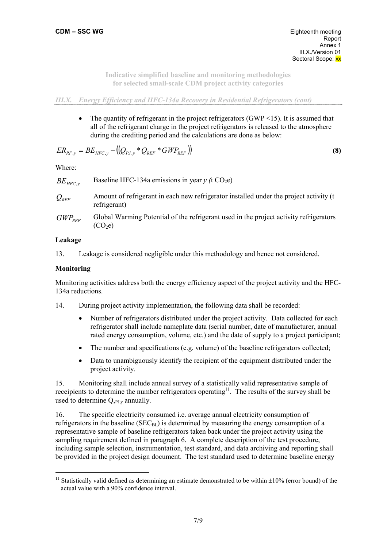#### *III.X. Energy Efficiency and HFC-134a Recovery in Residential Refrigerators (cont)*

• The quantity of refrigerant in the project refrigerators  $(GWP \le 15)$ . It is assumed that all of the refrigerant charge in the project refrigerators is released to the atmosphere during the crediting period and the calculations are done as below:

$$
ER_{RF,y} = BE_{HFC,y} - ((Q_{PJ,y} * Q_{REF} * GWP_{REF}))
$$
\n(8)

Where:

$$
BE_{HFC,y}
$$
 Baseline HFC-134a emissions in year y (t CO<sub>2</sub>e)

- *Q<sub>REF</sub>* Amount of refrigerant in each new refrigerator installed under the project activity (t refrigerant)
- *GWP<sub>REF</sub>* Global Warming Potential of the refrigerant used in the project activity refrigerators  $(CO<sub>2</sub>e)$

# **Leakage**

13. Leakage is considered negligible under this methodology and hence not considered.

## **Monitoring**

 $\overline{a}$ 

Monitoring activities address both the energy efficiency aspect of the project activity and the HFC-134a reductions.

- 14. During project activity implementation, the following data shall be recorded:
	- Number of refrigerators distributed under the project activity. Data collected for each refrigerator shall include nameplate data (serial number, date of manufacturer, annual rated energy consumption, volume, etc.) and the date of supply to a project participant;
	- The number and specifications (e.g. volume) of the baseline refrigerators collected;
	- Data to unambiguously identify the recipient of the equipment distributed under the project activity.

15. Monitoring shall include annual survey of a statistically valid representative sample of receipients to determine the number refrigerators operating<sup>11</sup>. The results of the survey shall be used to determine  $Q_{.PIv}$  annually.

16. The specific electricity consumed i.e. average annual electricity consumption of refrigerators in the baseline  $(SEC<sub>BL</sub>)$  is determined by measuring the energy consumption of a representative sample of baseline refrigerators taken back under the project activity using the sampling requirement defined in paragraph 6. A complete description of the test procedure, including sample selection, instrumentation, test standard, and data archiving and reporting shall be provided in the project design document. The test standard used to determine baseline energy

<sup>&</sup>lt;sup>11</sup> Statistically valid defined as determining an estimate demonstrated to be within  $\pm 10\%$  (error bound) of the actual value with a 90% confidence interval.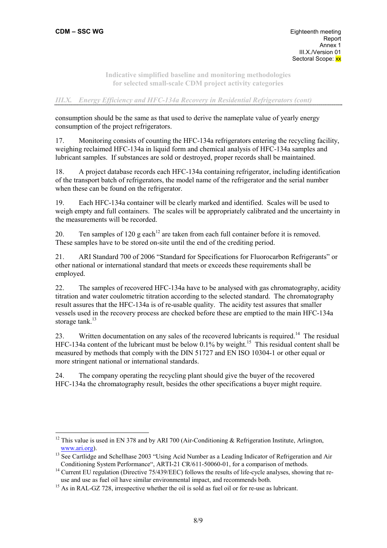## *III.X. Energy Efficiency and HFC-134a Recovery in Residential Refrigerators (cont)*

consumption should be the same as that used to derive the nameplate value of yearly energy consumption of the project refrigerators.

17. Monitoring consists of counting the HFC-134a refrigerators entering the recycling facility, weighing reclaimed HFC-134a in liquid form and chemical analysis of HFC-134a samples and lubricant samples. If substances are sold or destroyed, proper records shall be maintained.

18. A project database records each HFC-134a containing refrigerator, including identification of the transport batch of refrigerators, the model name of the refrigerator and the serial number when these can be found on the refrigerator.

19. Each HFC-134a container will be clearly marked and identified. Scales will be used to weigh empty and full containers. The scales will be appropriately calibrated and the uncertainty in the measurements will be recorded.

20. Ten samples of 120 g each<sup>12</sup> are taken from each full container before it is removed. These samples have to be stored on-site until the end of the crediting period.

21. ARI Standard 700 of 2006 "Standard for Specifications for Fluorocarbon Refrigerants" or other national or international standard that meets or exceeds these requirements shall be employed.

22. The samples of recovered HFC-134a have to be analysed with gas chromatography, acidity titration and water coulometric titration according to the selected standard. The chromatography result assures that the HFC-134a is of re-usable quality. The acidity test assures that smaller vessels used in the recovery process are checked before these are emptied to the main HFC-134a storage tank.<sup>13</sup>

23. Written documentation on any sales of the recovered lubricants is required.<sup>14</sup> The residual HFC-134a content of the lubricant must be below  $0.1\%$  by weight.<sup>15</sup> This residual content shall be measured by methods that comply with the DIN 51727 and EN ISO 10304-1 or other equal or more stringent national or international standards.

24. The company operating the recycling plant should give the buyer of the recovered HFC-134a the chromatography result, besides the other specifications a buyer might require.

 $\overline{a}$ <sup>12</sup> This value is used in EN 378 and by ARI 700 (Air-Conditioning & Refrigeration Institute, Arlington,

www.ari.org).<br><sup>13</sup> See Cartlidge and Schellhase 2003 "Using Acid Number as a Leading Indicator of Refrigeration and Air<br>Conditioning System Performance", ARTI-21 CR/611-50060-01, for a comparison of methods.

<sup>&</sup>lt;sup>14</sup> Current EU regulation (Directive 75/439/EEC) follows the results of life-cycle analyses, showing that re-<br>use and use as fuel oil have similar environmental impact, and recommends both.

 $15$  As in RAL-GZ 728, irrespective whether the oil is sold as fuel oil or for re-use as lubricant.